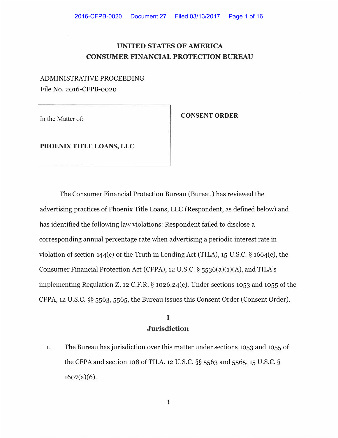## **UNITED STATES OF AMERICA CONSUMER FINANCIAL PROTECTION BUREAU**

#### ADMINISTRATIVE PROCEEDING

File No. 2016-CFPB-0020

In the Matter of:

**CONSENT ORDER** 

**PHOENIX TITLE LOANS, LLC** 

The Consumer Financial Protection Bureau (Bureau) has reviewed the advertising practices of Phoenix Title Loans, LLC (Respondent, as defined below) and has identified the following law violations: Respondent failed to disclose a corresponding annual percentage rate when advertising a periodic interest rate in violation of section 144(c) of the Truth in Lending Act (TILA), 15 U.S.C. **§** 1664(c), the Consumer Financial Protection Act (CFPA), 12 U.S.C. § 5536(a)(1)(A), and TILA's implementing Regulation Z, 12 C.F.R. § 1026.24(c). Under sections 1053 and 1055 of the CFPA, 12 U.S.C. **§§** 5563, 5565, the Bureau issues this Consent Order (Consent Order).

### **I Jurisdiction**

1. The Bureau has jurisdiction over this matter under sections 1053 and 1055 of the CFPA and section 108 of TILA. 12 U.S.C. **§§** 5563 and 5565, 15 U.S.C. **§**  $1607(a)(6)$ .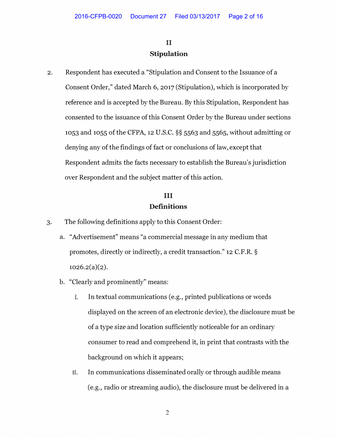# II **Stipulation**

2. Respondent has executed a "Stipulation and Consent to the Issuance of a Consent Order," dated March 6, 2017 (Stipulation), which is incorporated by reference and is accepted by the Bureau. By this Stipulation, Respondent has consented to the issuance of this Consent Order by the Bureau under sections 1053 and 1055 of the CFPA, 12 U.S.C. **§§** 5563 and 5565, without admitting or denying any of the findings of fact or conclusions of law, except that Respondent admits the facts necessary to establish the Bureau's jurisdiction over Respondent and the subject matter of this action.

## III **Definitions**

- 3. The following definitions apply to this Consent Order:
	- a. "Advertisement" means "a commercial message in any medium that promotes, directly or indirectly, a credit transaction." 12 C.F.R. **§**  $1026.2(a)(2)$ .
	- b. "Clearly and prominently" means:
		- **1.** In textual communications (e.g., printed publications or words displayed on the screen of an electronic device), the disclosure must be of a type size and location sufficiently noticeable for an ordinary consumer to read and comprehend it, in print that contrasts with the background on which it appears;
		- **11.** In communications disseminated orally or through audible means (e.g., radio or streaming audio), the disclosure must be delivered in a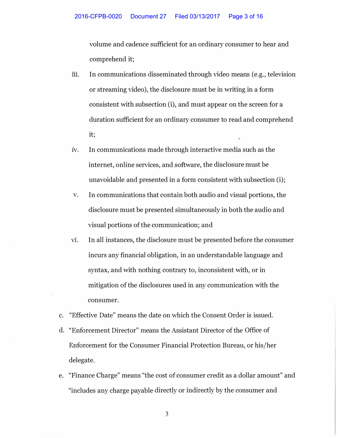volume and cadence sufficient for an ordinary consumer to hear and comprehend it;

- iii. In communications disseminated through video means (e.g., television or streaming video), the disclosure must be in writing in a form consistent with subsection (i), and must appear on the screen for a duration sufficient for an ordinary consumer to read and comprehend it;
- iv. In communications made through interactive media such as the internet, online services, and software, the disclosure must be unavoidable and presented in a form consistent with subsection (i);
- v. In communications that contain both audio and visual portions, the disclosure must be presented simultaneously in both the audio and visual portions of the communication; and
- VI. In all instances, the disclosure must be presented before the consumer incurs any financial obligation, in an understandable language and syntax, and with nothing contrary to, inconsistent with, or in mitigation of the disclosures used in any communication with the consumer.
- c. "Effective Date" means the date on which the Consent Order is issued.
- d. "Enforcement Director" means the Assistant Director of the Office of Enforcement for the Consumer Financial Protection Bureau, or his/her delegate.
- e. "Finance Charge" means "the cost of consumer credit as a dollar amount" and "includes any charge payable directly or indirectly by the consumer and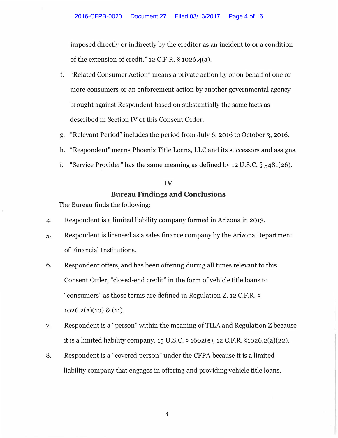imposed directly or indirectly by the creditor as an incident to or a condition of the extension of credit."  $12$  C.F.R. § 1026.4(a).

- f. "Related Consumer Action" means a private action by or on behalf of one or more consumers or an enforcement action by another governmental agency brought against Respondent based on substantially the same facts as described in Section IV of this Consent Order.
- g. "Relevant Period" includes the period from July 6, 2016 to October 3, 2016.
- h. "Respondent" means Phoenix Title Loans, LLC and its successors and assigns.
- **1.** "Service Provider" has the same meaning as defined by 12 U.S.C. § 5481(26).

# IV Bureau Findings and Conclusions

The Bureau finds the following:

- 4. Respondent is a limited liability company formed in Arizona in 2013.
- 5. Respondent is licensed as a sales finance company by the Arizona Department of Financial Institutions.
- 6. Respondent offers, and has been offering during all times relevant to this Consent Order, "closed-end credit" in the form of vehicle title loans to "consumers" as those terms are defined in Regulation Z, 12 C.F.R. §  $1026.2(a)(10) \& (11).$
- 7. Respondent is a "person" within the meaning of TILA and Regulation Z because it is a limited liability company. 15 U.S.C. § 1602(e), 12 C.F.R. §1026.2(a)(22).
- 8. Respondent is a "covered person" under the CFPA because it is a limited liability company that engages in offering and providing vehicle title loans,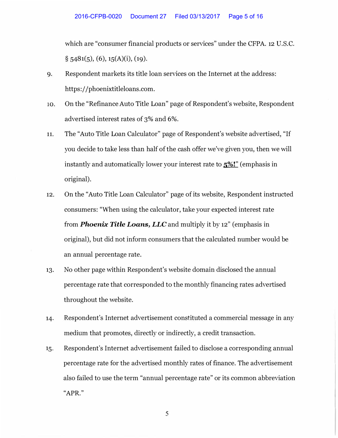which are "consumer financial products or services" under the CFPA. 12 U.S.C.  $\S$  5481(5), (6), 15(A)(i), (19).

- 9. Respondent markets its title loan services on the Internet at the address: https://phoenixtitleloans.com.
- **10.** On the "Refinance Auto Title Loan" page of Respondent's website, Respondent advertised interest rates of 3% and 6%.
- 11. The "Auto Title Loan Calculator" page of Respondent's website advertised, "If you decide to take less than half of the cash offer we've given you, then we will instantly and automatically lower your interest rate to  $\frac{5\%}{\%}$  (emphasis in original).
- 12. On the "Auto Title Loan Calculator" page of its website, Respondent instructed consumers: "When using the calculator, take your expected interest rate from *Phoenix Title Loans, LLC* and multiply it by 12" (emphasis in original), but did not inform consumers that the calculated number would be an annual percentage rate.
- 13. No other page within Respondent's website domain disclosed the annual percentage rate that corresponded to the monthly financing rates advertised throughout the website.
- 14. Respondent's Internet advertisement constituted a commercial message in any medium that promotes, directly or indirectly, a credit transaction.
- 15. Respondent's Internet advertisement failed to disclose a corresponding annual percentage rate for the advertised monthly rates of finance. The advertisement also failed to use the term "annual percentage rate" or its common abbreviation "APR."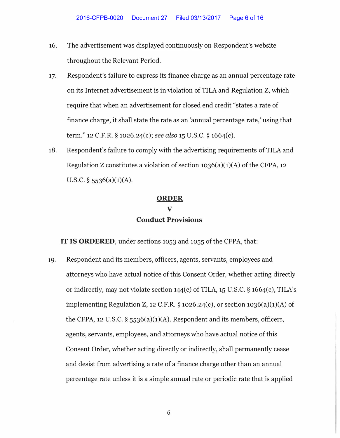- 16. The advertisement was displayed continuously on Respondent's website throughout the Relevant Period.
- 17. Respondent's failure to express its finance charge as an annual percentage rate on its Internet advertisement is in violation of TILA and Regulation Z, which require that when an advertisement for closed end credit "states a rate of finance charge, it shall state the rate as an 'annual percentage rate,' using that term." 12 C.F.R. § 1026.24(c); *see also* 15 U.S.C. § 1664(c).
- 18. Respondent's failure to comply with the advertising requirements of TILA and Regulation Z constitutes a violation of section  $1036(a)(1)(A)$  of the CFPA, 12 U.S.C.  $\S$  5536(a)(1)(A).

#### **ORDER**

# **V Conduct Provisions**

**IT IS ORDERED,** under sections 1053 and 1055 of the CFPA, that:

19. Respondent and its members, officers, agents, servants, employees and attorneys who have actual notice of this Consent Order, whether acting directly or indirectly, may not violate section 144(c) of TILA, 15 U.S.C. § 1664(c), TILA's implementing Regulation Z, 12 C.F.R.  $\S$  1026.24(c), or section 1036(a)(1)(A) of the CFPA, 12 U.S.C.  $\S$  5536(a)(1)(A). Respondent and its members, officers, agents, servants, employees, and attorneys who have actual notice of this Consent Order, whether acting directly or indirectly, shall permanently cease and desist from advertising a rate of a finance charge other than an annual percentage rate unless it is a simple annual rate or periodic rate that is applied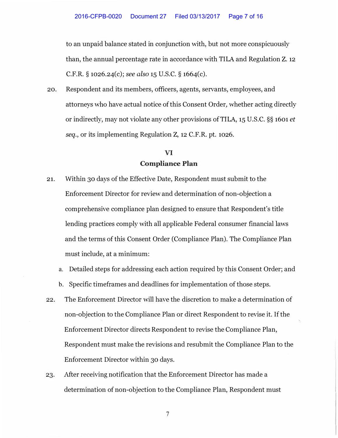to an unpaid balance stated in conjunction with, but not more conspicuously than, the annual percentage rate in accordance with TILA and Regulation Z. 12 C.F.R. § 1026.24(c); *see also* 15 U.S.C. § 1664(c).

20. Respondent and its members, officers, agents, servants, employees, and attorneys who have actual notice of this Consent Order, whether acting directly or indirectly, may not violate any other provisions of TILA, 15 U.S.C. §§ 1601 *et seq.,* or its implementing Regulation Z, 12 C.F.R. pt. 1026.

## **VI Compliance Plan**

- 21. Within 30 days of the Effective Date, Respondent must submit to the Enforcement Director for review and determination of non-objection a comprehensive compliance plan designed to ensure that Respondent's title lending practices comply with all applicable Federal consumer financial laws and the terms of this Consent Order (Compliance Plan). The Compliance Plan must include, at a minimum:
	- a. Detailed steps for addressing each action required by this Consent Order; and
	- b. Specific timeframes and deadlines for implementation of those steps.
- 22. The Enforcement Director will have the discretion to make a determination of non-objection to the Compliance Plan or direct Respondent to revise it. If the Enforcement Director directs Respondent to revise the Compliance Plan, Respondent must make the revisions and resubmit the Compliance Plan to the Enforcement Director within 30 days.
- 23. After receiving notification that the Enforcement Director has made a determination of non-objection to the Compliance Plan, Respondent must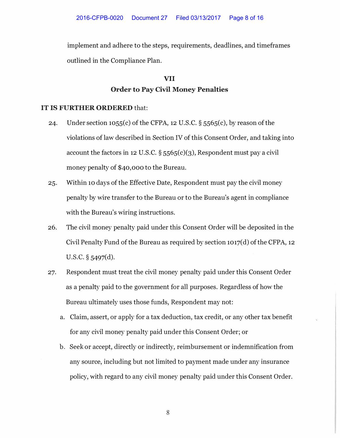implement and adhere to the steps, requirements, deadlines, and timeframes outlined in the Compliance Plan.

# **VII Order to Pay Civil Money Penalties**

#### **IT IS FURTHER ORDERED** that:

- 24. Under section 1055(c) of the CFPA, 12 U.S.C.  $\S$  5565(c), by reason of the violations of law described in Section IV of this Consent Order, and taking into account the factors in 12 U.S.C.  $\S 5565(c)(3)$ , Respondent must pay a civil money penalty of \$40,000 to the Bureau.
- 25. Within 10 days of the Effective Date, Respondent must pay the civil money penalty by wire transfer to the Bureau or to the Bureau's agent in compliance with the Bureau's wiring instructions.
- 26. The civil money penalty paid under this Consent Order will be deposited in the Civil Penalty Fund of the Bureau as required by section 1017(d) of the CFPA, 12 u.s.c. § 5497(d).
- 27. Respondent must treat the civil money penalty paid under this Consent Order as a penalty paid to the government for all purposes. Regardless of how the Bureau ultimately uses those funds, Respondent may not:
	- a. Claim, assert, or apply for a tax deduction, tax credit, or any other tax benefit for any civil money penalty paid under this Consent Order; or
	- b. Seek or accept, directly or indirectly, reimbursement or indemnification from any source, including but not limited to payment made under any insurance policy, with regard to any civil money penalty paid under this Consent Order.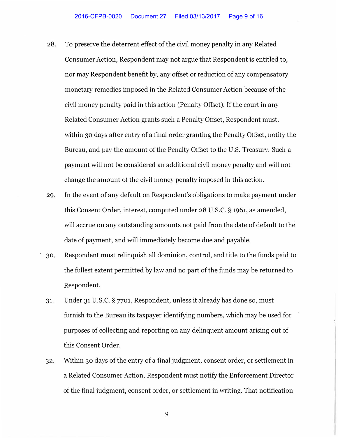- 28. To preserve the deterrent effect of the civil money penalty in any Related Consumer Action, Respondent may not argue that Respondent is entitled to, nor may Respondent benefit by, any offset or reduction of any compensatory monetary remedies imposed in the Related Consumer Action because of the civil money penalty paid in this action (Penalty Offset). If the court in any Related Consumer Action grants such a Penalty Offset, Respondent must, within 30 days after entry of a final order granting the Penalty Offset, notify the Bureau, and pay the amount of the Penalty Offset to the U.S. Treasury. Such a payment will not be considered an additional civil money penalty and will not change the amount of the civil money penalty imposed in this action.
- 29. In the event of any default on Respondent's obligations to make payment under this Consent Order, interest, computed under 28 U.S.C. § 1961, as amended, will accrue on any outstanding amounts not paid from the date of default to the date of payment, and will immediately become due and payable.
- , 30. Respondent must relinquish all dominion, control, and title to the funds paid to the fullest extent permitted by law and no part of the funds may be returned to Respondent.
- 31. Under 31 U.S.C. § 7701, Respondent, unless it already has done so, must furnish to the Bureau its taxpayer identifying numbers, which may be used for purposes of collecting and reporting on any delinquent amount arising out of this Consent Order.
- 32. Within 30 days of the entry of a final judgment, consent order, or settlement in a Related Consumer Action, Respondent must notify the Enforcement Director of the final judgment, consent order, or settlement in writing. That notification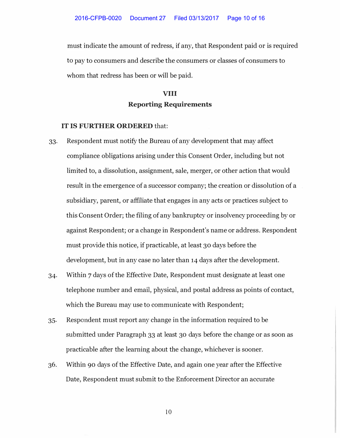must indicate the amount of redress, if any, that Respondent paid or is required to pay to consumers and describe the consumers or classes of consumers to whom that redress has been or will be paid.

## **VIII Reporting Requirements**

#### IT IS FURTHER ORDERED that:

- 33. Respondent must notify the Bureau of any development that may affect compliance obligations arising under this Consent Order, including but not limited to, a dissolution, assignment, sale, merger, or other action that would result in the emergence of a successor company; the creation or dissolution of a subsidiary, parent, or affiliate that engages in any acts or practices subject to this Consent Order; the filing of any bankruptcy or insolvency proceeding by or against Respondent; or a change in Respondent's name or address. Respondent must provide this notice, if practicable, at least 30 days before the development, but in any case no later than 14 days after the development.
- 34. Within 7 days of the Effective Date, Respondent must designate at least one telephone number and email, physical, and postal address as points of contact, which the Bureau may use to communicate with Respondent;
- 35. Respondent must report any change in the information required to be submitted under Paragraph 33 at least 30 days before the change or as soon as practicable after the learning about the change, whichever is sooner.
- 36. Within 90 days of the Effective Date, and again one year after the Effective Date, Respondent must submit to the Enforcement Director an accurate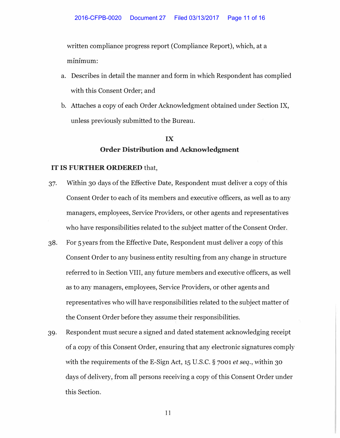written compliance progress report (Compliance Report), which, at a minimum:

- a. Describes in detail the manner and form in which Respondent has complied with this Consent Order; and
- b. Attaches a copy of each Order Acknowledgment obtained under Section IX, unless previously submitted to the Bureau.

# IX Order Distribution and Acknowledgment

#### IT IS FURTHER ORDERED that,

- 37. Within 30 days of the Effective Date, Respondent must deliver a copy of this Consent Order to each of its members and executive officers, as well as to any managers, employees, Service Providers, or other agents and representatives who have responsibilities related to the subject matter of the Consent Order.
- 38. For 5 years from the Effective Date, Respondent must deliver a copy of this Consent Order to any business entity resulting from any change in structure referred to in Section VIII, any future members and executive officers, as well as to any managers, employees, Service Providers, or other agents and representatives who will have responsibilities related to the subject matter of the Consent Order before they assume their responsibilities.
- 39. Respondent must secure a signed and dated statement acknowledging receipt of a copy of this Consent Order, ensuring that any electronic signatures comply with the requirements of the E-Sign Act, 15 U.S.C. § 7001 *et seq.*, within 30 days of delivery, from all persons receiving a copy of this Consent Order under this Section.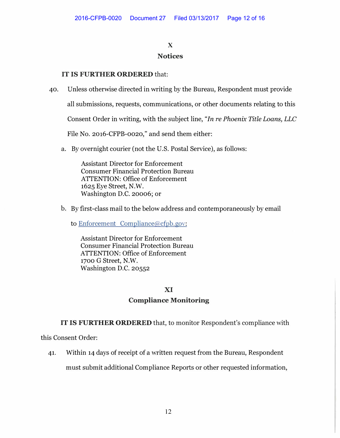## **X Notices**

### IT IS FURTHER ORDERED that:

40. Unless otherwise directed in writing by the Bureau, Respondent must provide

all submissions, requests, communications, or other documents relating to this

Consent Order in writing, with the subject line, *"In re Phoenix Title Loans, LLC*

File No. 2016-CFPB-0020," and send them either:

a. By overnight courier (not the U.S. Postal Service), as follows:

Assistant Director for Enforcement Consumer Financial Protection Bureau ATTENTION: Office of Enforcement 1625 Eye Street, N.W. Washington D.C. 20006; or

b. By first-class mail to the below address and contemporaneously by email

to Enforcement Compliance@cfpb.gov:

Assistant Director for Enforcement Consumer Financial Protection Bureau ATTENTION: Office of Enforcement 1700 G Street, N.W. Washington D.C. 20552

### XI

### **Compliance Monitoring**

IT IS FURTHER ORDERED that, to monitor Respondent's compliance with

this Consent Order:

41. Within 14 days of receipt of a written request from the Bureau, Respondent

must submit additional Compliance Reports or other requested information,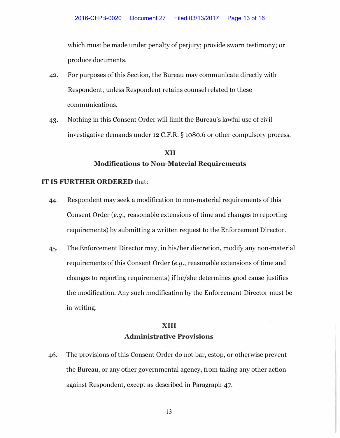which must be made under penalty of perjury; provide sworn testimony; or produce documents.

- 42. For purposes of this Section, the Bureau may communicate directly with Respondent, unless Respondent retains counsel related to these communications.
- 43. Nothing in this Consent Order will limit the Bureau's lawful use of civil investigative demands under 12 C.F.R. § 1080.6 or other compulsory process.

## **XII Modifications to Non-Material Requirements**

#### **IT IS FURTHER ORDERED** that:

- 44. Respondent may seek a modification to non-material requirements of this Consent Order *(e.g.,* reasonable extensions of time and changes to reporting requirements) by submitting a written request to the Enforcement Director.
- 45. The Enforcement Director may, in his/her discretion, modify any non-material requirements of this Consent Order *(e.g., reasonable extensions of time and* changes to reporting requirements) if he/she determines good cause justifies the modification. Any such modification by the Enforcement Director must be in writing.

### **XIII**

### **Administrative Provisions**

46. The provisions of this Consent Order do not bar, estop, or otherwise prevent the Bureau, or any other governmental agency, from taking any other action against Respondent, except as described in Paragraph 47.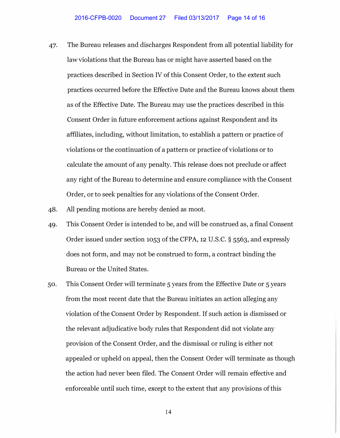- 47. The Bureau releases and discharges Respondent from all potential liability for law violations that the Bureau has or might have asserted based on the practices described in Section IV of this Consent Order, to the extent such practices occurred before the Effective Date and the Bureau knows about them as of the Effective Date. The Bureau may use the practices described in this Consent Order in future enforcement actions against Respondent and its affiliates, including, without limitation, to establish a pattern or practice of violations or the continuation of a pattern or practice of violations or to calculate the amount of any penalty. This release does not preclude or affect any right of the Bureau to determine and ensure compliance with the Consent Order, or to seek penalties for any violations of the Consent Order.
- 48. All pending motions are hereby denied as moot.
- 49. This Consent Order is intended to be, and will be construed as, a final Consent Order issued under section 1053 of the CFPA, 12 U.S.C. § 5563, and expressly does not form, and may not be construed to form, a contract binding the Bureau or the United States.
- 50. This Consent Order will terminate 5 years from the Effective Date or 5 years from the most recent date that the Bureau initiates an action alleging any violation of the Consent Order by Respondent. If such action is dismissed or the relevant adjudicative body rules that Respondent did not violate any provision of the Consent Order, and the dismissal or ruling is either not appealed or upheld on appeal, then the Consent Order will terminate as though the action had never been filed. The Consent Order will remain effective and enforceable until such time, except to the extent that any provisions of this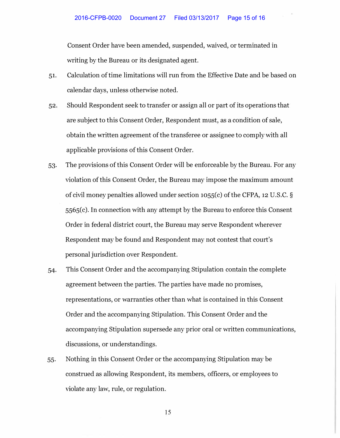Consent Order have been amended, suspended, waived, or terminated in writing by the Bureau or its designated agent.

- 51. Calculation of time limitations will run from the Effective Date and be based on calendar days, unless otherwise noted.
- 52. Should Respondent seek to transfer or assign all or part of its operations that are subject to this Consent Order, Respondent must, as a condition of sale, obtain the written agreement of the transferee or assignee to comply with all applicable provisions of this Consent Order.
- 53. The provisions of this Consent Order will be enforceable by the Bureau. For any violation of this Consent Order, the Bureau may impose the maximum amount of civil money penalties allowed under section 1055(c) of the CFPA, 12 U.S.C. § 5565(c). In connection with any attempt by the Bureau to enforce this Consent Order in federal district court, the Bureau may serve Respondent wherever Respondent may be found and Respondent may not contest that court's personal jurisdiction over Respondent.
- 54. This Consent Order and the accompanying Stipulation contain the complete agreement between the parties. The parties have made no promises, representations, or warranties other than what is contained in this Consent Order and the accompanying Stipulation. This Consent Order and the accompanying Stipulation supersede any prior oral or written communications, discussions, or understandings.
- 55. Nothing in this Consent Order or the accompanying Stipulation may be construed as allowing Respondent, its members, officers, or employees to violate any law, rule, or regulation.